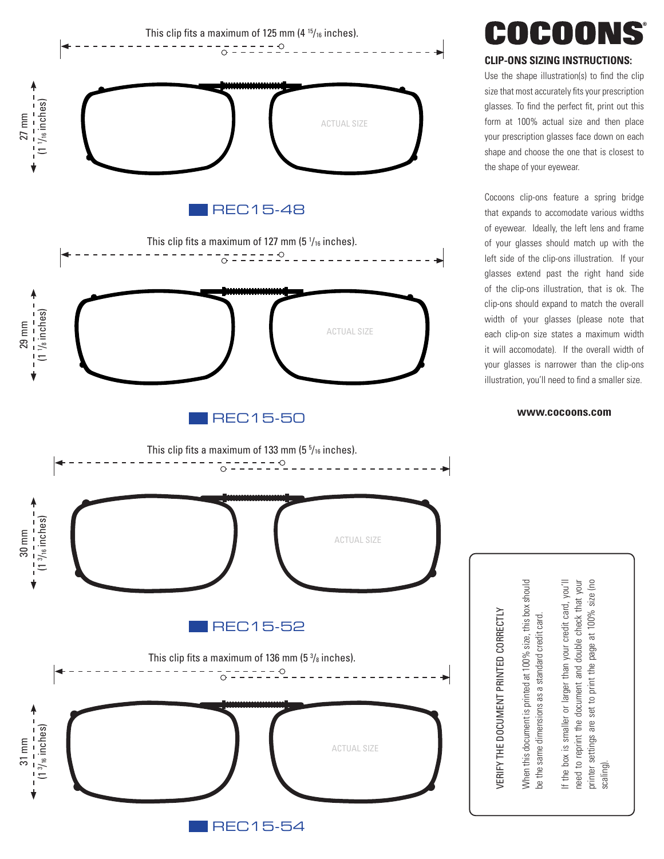

## COCOONS

## **CLIP-ONS SIZING INSTRUCTIONS:**

Use the shape illustration(s) to find the clip size that most accurately fits your prescription glasses. To find the perfect fit, print out this form at 100% actual size and then place your prescription glasses face down on each shape and choose the one that is closest to the shape of your eyewear.

Cocoons clip-ons feature a spring bridge that expands to accomodate various widths of eyewear. Ideally, the left lens and frame of your glasses should match up with the left side of the clip-ons illustration. If your glasses extend past the right hand side of the clip-ons illustration, that is ok. The clip-ons should expand to match the overall width of your glasses (please note that each clip-on size states a maximum width it will accomodate). If the overall width of your glasses is narrower than the clip-ons illustration, you'll need to find a smaller size.

#### **[www.cocoons.com](https://cocoonseyewear.com)**

When this document is printed at 100% size, this box should When this document is printed at 100% size, this box should be the same dimensions as a standard credit card. be the same dimensions as a standard credit card.

VERIFY THE DOCUMENT PRINTED CORRECTLY

/ERIFY THE DOCUMENT PRINTED CORRECTLY

If the box is smaller or larger than your credit card, you'll If the box is smaller or larger than your credit card, you'll need to reprint the document and double check that your printer settings are set to print the page at 100% size (no printer settings are set to print the page at 100% size (no need to reprint the document and double check that your scaling).